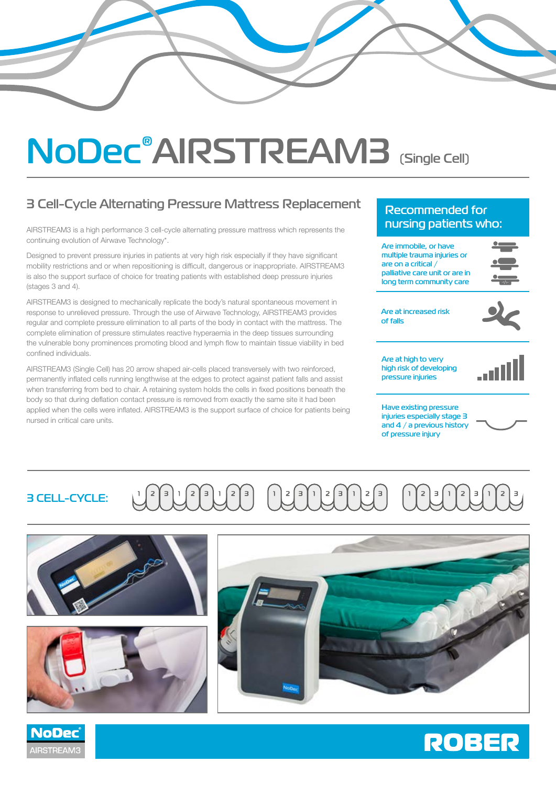# **NoDec® AIRSTREAM3 (Single Cell)**

# **3 Cell-Cycle Alternating Pressure Mattress Replacement**

AIRSTREAM3 is a high performance 3 cell-cycle alternating pressure mattress which represents the continuing evolution of Airwave Technology\*.

Designed to prevent pressure injuries in patients at very high risk especially if they have significant mobility restrictions and or when repositioning is difficult, dangerous or inappropriate. AIRSTREAM3 is also the support surface of choice for treating patients with established deep pressure injuries (stages 3 and 4).

AIRSTREAM3 is designed to mechanically replicate the body's natural spontaneous movement in response to unrelieved pressure. Through the use of Airwave Technology, AIRSTREAM3 provides regular and complete pressure elimination to all parts of the body in contact with the mattress. The complete elimination of pressure stimulates reactive hyperaemia in the deep tissues surrounding the vulnerable bony prominences promoting blood and lymph flow to maintain tissue viability in bed confined individuals.

AIRSTREAM3 (Single Cell) has 20 arrow shaped air-cells placed transversely with two reinforced, permanently inflated cells running lengthwise at the edges to protect against patient falls and assist when transferring from bed to chair. A retaining system holds the cells in fixed positions beneath the body so that during deflation contact pressure is removed from exactly the same site it had been applied when the cells were inflated. AIRSTREAM3 is the support surface of choice for patients being nursed in critical care units.

**NoDec** 

**AIRSTREAM3** 

## **Recommended for nursing patients who:**

**Are immobile, or have multiple trauma injuries or are on a critical / palliative care unit or are in long term community care**



**Are at increased risk of falls**



**Are at high to very high risk of developing pressure injuries**



**Have existing pressure injuries especially stage 3 and 4 / a previous history of pressure injury**



#### $\left\lceil 2 \right\rceil$   $\left\lceil 3 \right\rceil$  $251$  $\epsilon$  $\left\lceil \frac{1}{2} \right\rceil$  $2 \mid 3$ **3 CELL-CYCLE:**